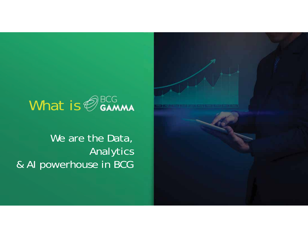# What is  $\bigcirc$  samma

We are the Data, Analytics & AI powerhouse in BCG

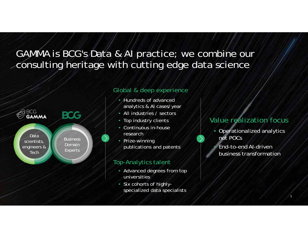### GAMMA is BCG's Data & AI practice; we combine our consulting heritage with cutting edge data science



### Global & deep experience

- • Hundreds of advanced analytics & AI cases/year
- All industries / sectors
- Top industry clients
- • Continuous in-house research
- Prize-winning publications and patents

#### Top-Analytics talent

- Advanced degrees from top universities
- Six cohorts of highlyspecialized data specialists

### Value realization focus

- Operationalized analytics not POCs
	- End-to-end AI-driven business transformation

•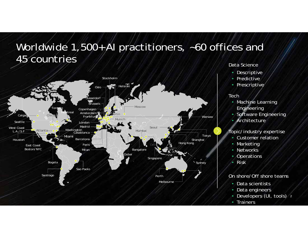## Worldwide 1,500+ AI practitioners, ~60 offices and 45 countries



#### Data Science

- Descriptive
- Predictive
- Prescriptive

#### **Tech**

•

- Machine Learning Engineering
- Software Engineering
- •Architecture

#### Topic/industry expertise

- •Customer relation
- Marketing
- Networks
- •**Operations**
- •Risk

#### On shore/Off shore teams

- Data scientists
- Data engineers
- Developers (UI, tools) 2
- Trainers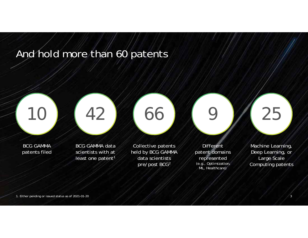## And hold more than 60 patents





BCG GAMMA patents filed

BCG GAMMA data scientists with at least one patent<sup>1</sup>

Collective patents held by BCG GAMMA data scientists pre/post BCG2

Different patent domains represented (e.g., Optimization, ML, Healthcare)

9

Machine Learning, Deep Learning, or Large Scale Computing patents

25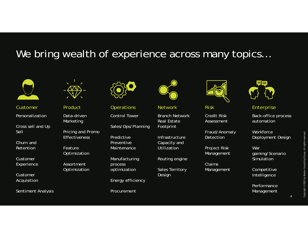### We bring wealth of experience across many topics...



#### PersonalizationCustomer Product Operations Network Risk Enterprise

Cross sell and Up Sell

Churn and Retention

Customer Experience

Customer Acquisition

Sentiment Analysis



Data-driven Marketing

Pricing and Promo **Effectiveness** 

Feature Optimization

Assortment Optimization



Control Tower

Sales/Ops/Planning

**Predictive** Preventive Maintenance

Manufacturing process optimization

Energy efficiency

Procurement



Branch Network

Real Estate Footprint

Infrastructure Capacity and Utilization

Routing engine

Sales Territory Design



Credit Risk Assessment

Fraud/Anomaly Detection

Project Risk Management

Claims Management



Back-office process automation

**Workforce** Deployment Design

War gaming/Scenario Simulation

Competitive Intelligence

Performance Management

4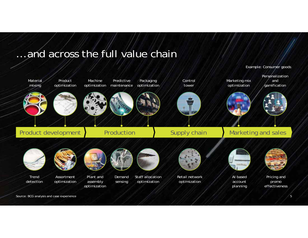### … and across the full value chain



Source: BCG analysis and case experience

*Example: Consumer goods*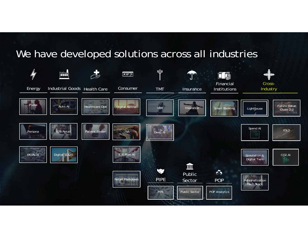### We have developed solutions across all industries